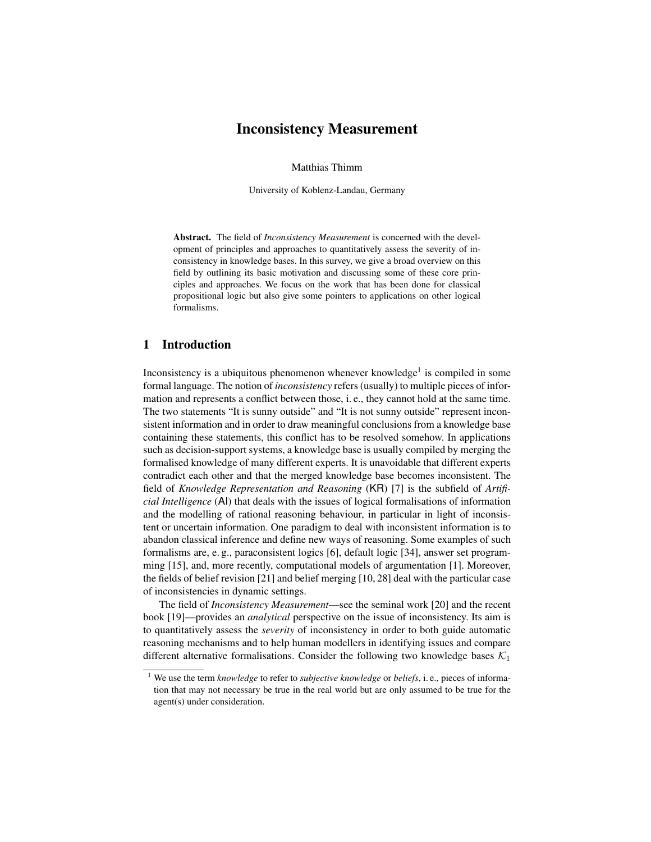# Inconsistency Measurement

Matthias Thimm

University of Koblenz-Landau, Germany

Abstract. The field of *Inconsistency Measurement* is concerned with the development of principles and approaches to quantitatively assess the severity of inconsistency in knowledge bases. In this survey, we give a broad overview on this field by outlining its basic motivation and discussing some of these core principles and approaches. We focus on the work that has been done for classical propositional logic but also give some pointers to applications on other logical formalisms.

# 1 Introduction

Inconsistency is a ubiquitous phenomenon whenever knowledge<sup>1</sup> is compiled in some formal language. The notion of *inconsistency* refers (usually) to multiple pieces of information and represents a conflict between those, i. e., they cannot hold at the same time. The two statements "It is sunny outside" and "It is not sunny outside" represent inconsistent information and in order to draw meaningful conclusions from a knowledge base containing these statements, this conflict has to be resolved somehow. In applications such as decision-support systems, a knowledge base is usually compiled by merging the formalised knowledge of many different experts. It is unavoidable that different experts contradict each other and that the merged knowledge base becomes inconsistent. The field of *Knowledge Representation and Reasoning* (KR) [7] is the subfield of *Artificial Intelligence* (AI) that deals with the issues of logical formalisations of information and the modelling of rational reasoning behaviour, in particular in light of inconsistent or uncertain information. One paradigm to deal with inconsistent information is to abandon classical inference and define new ways of reasoning. Some examples of such formalisms are, e. g., paraconsistent logics [6], default logic [34], answer set programming [15], and, more recently, computational models of argumentation [1]. Moreover, the fields of belief revision [21] and belief merging [10, 28] deal with the particular case of inconsistencies in dynamic settings.

The field of *Inconsistency Measurement*—see the seminal work [20] and the recent book [19]—provides an *analytical* perspective on the issue of inconsistency. Its aim is to quantitatively assess the *severity* of inconsistency in order to both guide automatic reasoning mechanisms and to help human modellers in identifying issues and compare different alternative formalisations. Consider the following two knowledge bases  $\mathcal{K}_1$ 

<sup>1</sup> We use the term *knowledge* to refer to *subjective knowledge* or *beliefs*, i. e., pieces of information that may not necessary be true in the real world but are only assumed to be true for the agent(s) under consideration.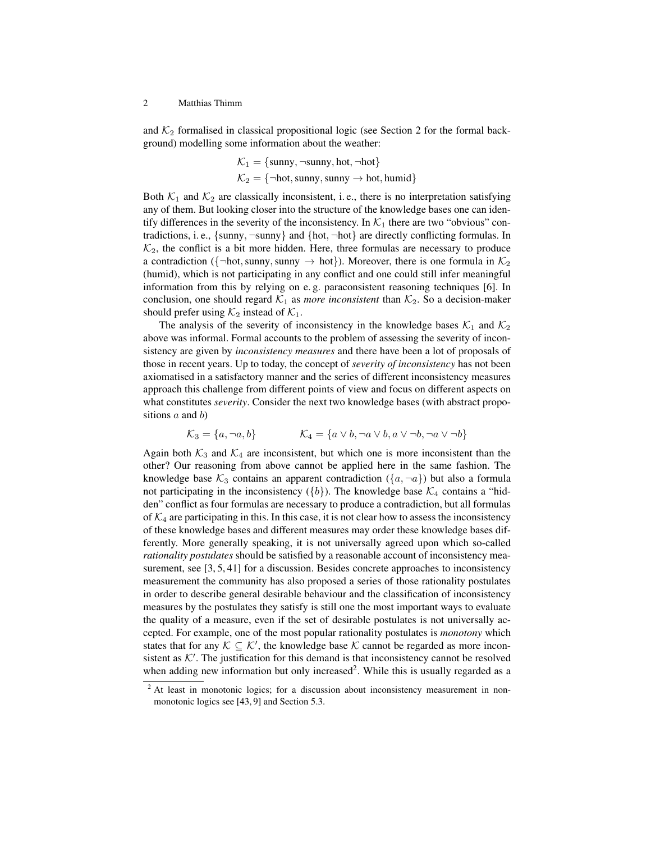and  $K_2$  formalised in classical propositional logic (see Section 2 for the formal background) modelling some information about the weather:

$$
\mathcal{K}_1 = \{\text{sumy}, \neg \text{sumy}, \text{hot}, \neg \text{hot}\}
$$

$$
\mathcal{K}_2 = \{\neg \text{hot}, \text{sumy}, \text{sumy} \rightarrow \text{hot}, \text{humid}\}
$$

Both  $K_1$  and  $K_2$  are classically inconsistent, i.e., there is no interpretation satisfying any of them. But looking closer into the structure of the knowledge bases one can identify differences in the severity of the inconsistency. In  $K_1$  there are two "obvious" contradictions, i.e.,  $\{sum, -sumy\}$  and  $\{hot, \neg hot\}$  are directly conflicting formulas. In  $\mathcal{K}_2$ , the conflict is a bit more hidden. Here, three formulas are necessary to produce a contradiction ({¬hot, sunny, sunny  $\rightarrow$  hot}). Moreover, there is one formula in  $\mathcal{K}_2$ (humid), which is not participating in any conflict and one could still infer meaningful information from this by relying on e. g. paraconsistent reasoning techniques [6]. In conclusion, one should regard  $K_1$  as *more inconsistent* than  $K_2$ . So a decision-maker should prefer using  $\mathcal{K}_2$  instead of  $\mathcal{K}_1$ .

The analysis of the severity of inconsistency in the knowledge bases  $\mathcal{K}_1$  and  $\mathcal{K}_2$ above was informal. Formal accounts to the problem of assessing the severity of inconsistency are given by *inconsistency measures* and there have been a lot of proposals of those in recent years. Up to today, the concept of *severity of inconsistency* has not been axiomatised in a satisfactory manner and the series of different inconsistency measures approach this challenge from different points of view and focus on different aspects on what constitutes *severity*. Consider the next two knowledge bases (with abstract propositions  $a$  and  $b$ )

$$
\mathcal{K}_3 = \{a, \neg a, b\} \qquad \qquad \mathcal{K}_4 = \{a \lor b, \neg a \lor b, a \lor \neg b, \neg a \lor \neg b\}
$$

Again both  $K_3$  and  $K_4$  are inconsistent, but which one is more inconsistent than the other? Our reasoning from above cannot be applied here in the same fashion. The knowledge base  $\mathcal{K}_3$  contains an apparent contradiction  $(\lbrace a, \neg a \rbrace)$  but also a formula not participating in the inconsistency ( $\{b\}$ ). The knowledge base  $\mathcal{K}_4$  contains a "hidden" conflict as four formulas are necessary to produce a contradiction, but all formulas of  $\mathcal{K}_4$  are participating in this. In this case, it is not clear how to assess the inconsistency of these knowledge bases and different measures may order these knowledge bases differently. More generally speaking, it is not universally agreed upon which so-called *rationality postulates* should be satisfied by a reasonable account of inconsistency measurement, see [3, 5, 41] for a discussion. Besides concrete approaches to inconsistency measurement the community has also proposed a series of those rationality postulates in order to describe general desirable behaviour and the classification of inconsistency measures by the postulates they satisfy is still one the most important ways to evaluate the quality of a measure, even if the set of desirable postulates is not universally accepted. For example, one of the most popular rationality postulates is *monotony* which states that for any  $K \subseteq K'$ , the knowledge base K cannot be regarded as more inconsistent as  $K'$ . The justification for this demand is that inconsistency cannot be resolved when adding new information but only increased<sup>2</sup>. While this is usually regarded as a

<sup>&</sup>lt;sup>2</sup> At least in monotonic logics; for a discussion about inconsistency measurement in nonmonotonic logics see [43, 9] and Section 5.3.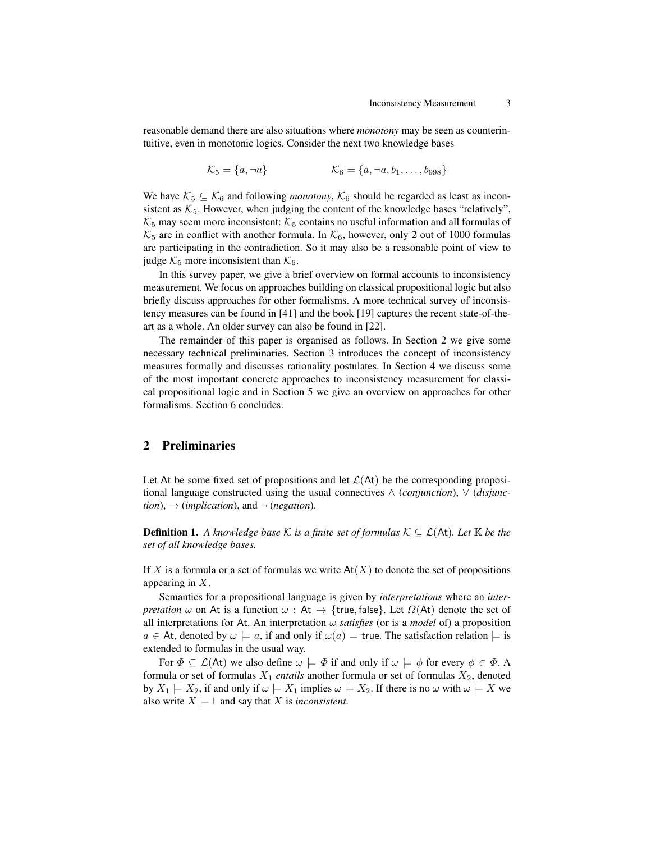reasonable demand there are also situations where *monotony* may be seen as counterintuitive, even in monotonic logics. Consider the next two knowledge bases

 $\mathcal{K}_5 = \{a, \neg a\}$   $\mathcal{K}_6 = \{a, \neg a, b_1, \dots, b_{998}\}$ 

We have  $K_5 \subseteq K_6$  and following *monotony*,  $K_6$  should be regarded as least as inconsistent as  $K_5$ . However, when judging the content of the knowledge bases "relatively",  $K_5$  may seem more inconsistent:  $K_5$  contains no useful information and all formulas of  $\mathcal{K}_5$  are in conflict with another formula. In  $\mathcal{K}_6$ , however, only 2 out of 1000 formulas are participating in the contradiction. So it may also be a reasonable point of view to judge  $K_5$  more inconsistent than  $K_6$ .

In this survey paper, we give a brief overview on formal accounts to inconsistency measurement. We focus on approaches building on classical propositional logic but also briefly discuss approaches for other formalisms. A more technical survey of inconsistency measures can be found in [41] and the book [19] captures the recent state-of-theart as a whole. An older survey can also be found in [22].

The remainder of this paper is organised as follows. In Section 2 we give some necessary technical preliminaries. Section 3 introduces the concept of inconsistency measures formally and discusses rationality postulates. In Section 4 we discuss some of the most important concrete approaches to inconsistency measurement for classical propositional logic and in Section 5 we give an overview on approaches for other formalisms. Section 6 concludes.

# 2 Preliminaries

Let At be some fixed set of propositions and let  $\mathcal{L}(A_t)$  be the corresponding propositional language constructed using the usual connectives ∧ (*conjunction*), ∨ (*disjunc* $tion) \rightarrow (implication)$ , and  $\neg$  (*negation*).

**Definition 1.** A knowledge base K is a finite set of formulas  $K \subseteq \mathcal{L}(At)$ . Let  $K$  be the *set of all knowledge bases.*

If X is a formula or a set of formulas we write  $At(X)$  to denote the set of propositions appearing in X.

Semantics for a propositional language is given by *interpretations* where an *interpretation*  $\omega$  on At is a function  $\omega$ : At  $\rightarrow$  {true, false}. Let  $\Omega$ (At) denote the set of all interpretations for At. An interpretation  $\omega$  *satisfies* (or is a *model* of) a proposition  $a \in$  At, denoted by  $\omega \models a$ , if and only if  $\omega(a) =$  true. The satisfaction relation  $\models$  is extended to formulas in the usual way.

For  $\Phi \subseteq \mathcal{L}(At)$  we also define  $\omega \models \Phi$  if and only if  $\omega \models \phi$  for every  $\phi \in \Phi$ . A formula or set of formulas  $X_1$  *entails* another formula or set of formulas  $X_2$ , denoted by  $X_1 \models X_2$ , if and only if  $\omega \models X_1$  implies  $\omega \models X_2$ . If there is no  $\omega$  with  $\omega \models X$  we also write  $X \models \perp$  and say that X is *inconsistent*.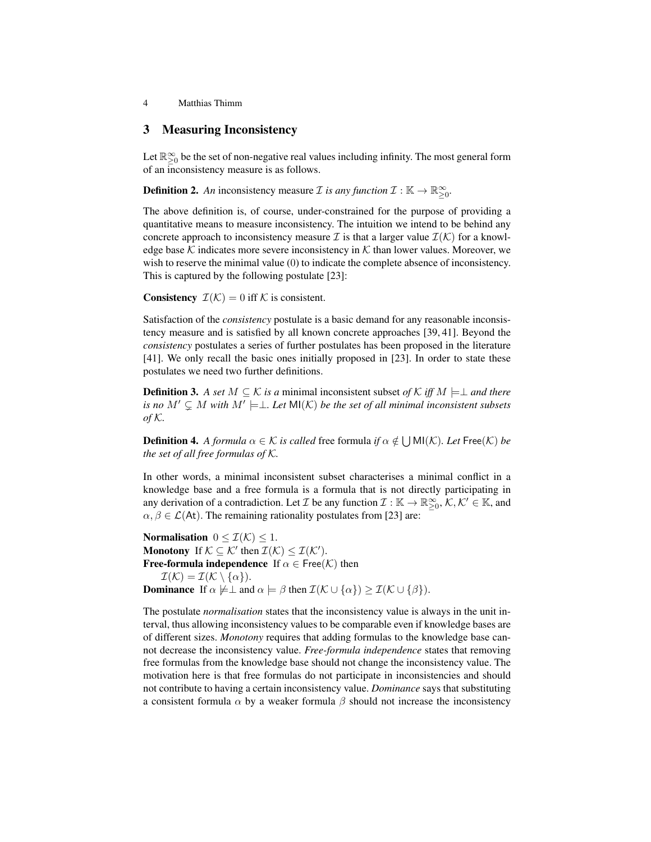# 3 Measuring Inconsistency

Let  $\mathbb{R}^{\infty}_{\geq 0}$  be the set of non-negative real values including infinity. The most general form of an inconsistency measure is as follows.

**Definition 2.** An inconsistency measure *I* is any function  $\mathcal{I}: \mathbb{K} \to \mathbb{R}_{\geq 0}^{\infty}$ .

The above definition is, of course, under-constrained for the purpose of providing a quantitative means to measure inconsistency. The intuition we intend to be behind any concrete approach to inconsistency measure T is that a larger value  $\mathcal{I}(\mathcal{K})$  for a knowledge base K indicates more severe inconsistency in K than lower values. Moreover, we wish to reserve the minimal value (0) to indicate the complete absence of inconsistency. This is captured by the following postulate [23]:

**Consistency**  $\mathcal{I}(\mathcal{K}) = 0$  iff  $\mathcal{K}$  is consistent.

Satisfaction of the *consistency* postulate is a basic demand for any reasonable inconsistency measure and is satisfied by all known concrete approaches [39, 41]. Beyond the *consistency* postulates a series of further postulates has been proposed in the literature [41]. We only recall the basic ones initially proposed in [23]. In order to state these postulates we need two further definitions.

**Definition 3.** *A set*  $M ⊆ K$  *is a* minimal inconsistent subset *of*  $K$  *iff*  $M ⊨ ⊥$  *and there is no*  $M' \subsetneq M$  with  $M' \models \perp$ . Let  $\mathsf{MI}(\mathcal{K})$  be the set of all minimal inconsistent subsets *of* K*.*

**Definition 4.** A formula  $\alpha \in \mathcal{K}$  is called free formula if  $\alpha \notin \bigcup \text{MI}(\mathcal{K})$ . Let Free $(\mathcal{K})$  be *the set of all free formulas of* K*.*

In other words, a minimal inconsistent subset characterises a minimal conflict in a knowledge base and a free formula is a formula that is not directly participating in any derivation of a contradiction. Let  $\mathcal I$  be any function  $\mathcal I : \mathbb K \to \mathbb R_{\geq 0}^\infty, \mathcal K, \mathcal K' \in \mathbb K$ , and  $\alpha, \beta \in \mathcal{L}(A_t)$ . The remaining rationality postulates from [23] are:

Normalisation  $0 \leq \mathcal{I}(\mathcal{K}) \leq 1$ . **Monotony** If  $K \subseteq K'$  then  $\mathcal{I}(K) \leq \mathcal{I}(K')$ . **Free-formula independence** If  $\alpha \in \text{Free}(\mathcal{K})$  then  $\mathcal{I}(\mathcal{K}) = \mathcal{I}(\mathcal{K} \setminus {\alpha}).$ **Dominance** If  $\alpha \not\models \bot$  and  $\alpha \models \beta$  then  $\mathcal{I}(\mathcal{K} \cup {\alpha}) \geq \mathcal{I}(\mathcal{K} \cup {\beta}).$ 

The postulate *normalisation* states that the inconsistency value is always in the unit interval, thus allowing inconsistency values to be comparable even if knowledge bases are of different sizes. *Monotony* requires that adding formulas to the knowledge base cannot decrease the inconsistency value. *Free-formula independence* states that removing free formulas from the knowledge base should not change the inconsistency value. The motivation here is that free formulas do not participate in inconsistencies and should not contribute to having a certain inconsistency value. *Dominance* says that substituting a consistent formula  $\alpha$  by a weaker formula  $\beta$  should not increase the inconsistency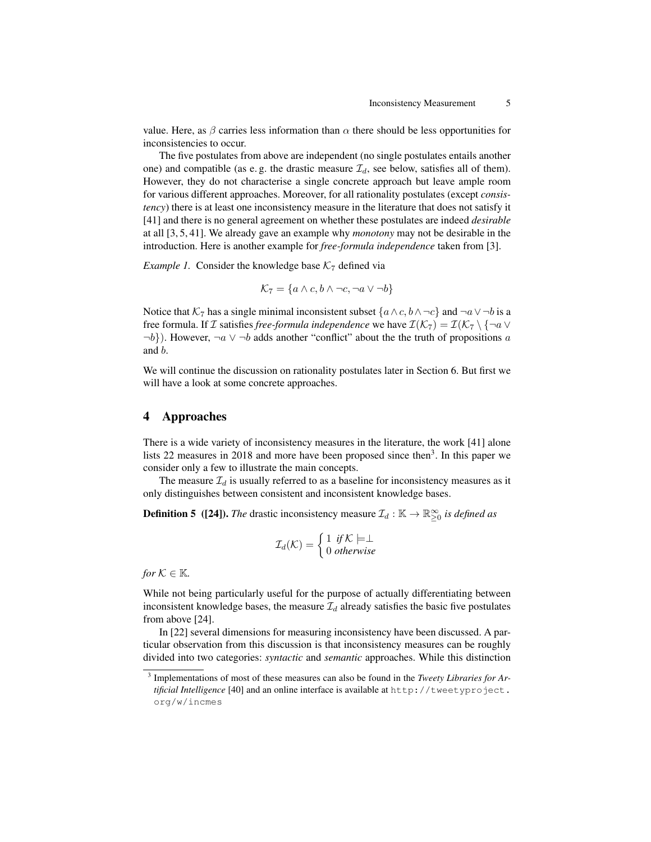value. Here, as  $\beta$  carries less information than  $\alpha$  there should be less opportunities for inconsistencies to occur.

The five postulates from above are independent (no single postulates entails another one) and compatible (as e.g. the drastic measure  $\mathcal{I}_d$ , see below, satisfies all of them). However, they do not characterise a single concrete approach but leave ample room for various different approaches. Moreover, for all rationality postulates (except *consistency*) there is at least one inconsistency measure in the literature that does not satisfy it [41] and there is no general agreement on whether these postulates are indeed *desirable* at all [3, 5, 41]. We already gave an example why *monotony* may not be desirable in the introduction. Here is another example for *free-formula independence* taken from [3].

*Example 1.* Consider the knowledge base  $K<sub>7</sub>$  defined via

$$
\mathcal{K}_7 = \{ a \land c, b \land \neg c, \neg a \lor \neg b \}
$$

Notice that  $K_7$  has a single minimal inconsistent subset  $\{a \wedge c, b \wedge \neg c\}$  and  $\neg a \vee \neg b$  is a free formula. If *I* satisfies *free-formula independence* we have  $\mathcal{I}(\mathcal{K}_7) = \mathcal{I}(\mathcal{K}_7 \setminus \{\neg a \vee a\})$  $\neg b$ ). However,  $\neg a \lor \neg b$  adds another "conflict" about the the truth of propositions a and b.

We will continue the discussion on rationality postulates later in Section 6. But first we will have a look at some concrete approaches.

# 4 Approaches

There is a wide variety of inconsistency measures in the literature, the work [41] alone lists 22 measures in 2018 and more have been proposed since then<sup>3</sup>. In this paper we consider only a few to illustrate the main concepts.

The measure  $\mathcal{I}_d$  is usually referred to as a baseline for inconsistency measures as it only distinguishes between consistent and inconsistent knowledge bases.

**Definition 5** ([24]). *The* drastic inconsistency measure  $\mathcal{I}_d : \mathbb{K} \to \mathbb{R}^\infty_{\geq 0}$  *is defined as* 

$$
\mathcal{I}_d(\mathcal{K}) = \begin{cases} 1 & \text{if } \mathcal{K} \models \perp \\ 0 & \text{otherwise} \end{cases}
$$

*for*  $K \in \mathbb{K}$ *.* 

While not being particularly useful for the purpose of actually differentiating between inconsistent knowledge bases, the measure  $\mathcal{I}_d$  already satisfies the basic five postulates from above [24].

In [22] several dimensions for measuring inconsistency have been discussed. A particular observation from this discussion is that inconsistency measures can be roughly divided into two categories: *syntactic* and *semantic* approaches. While this distinction

<sup>3</sup> Implementations of most of these measures can also be found in the *Tweety Libraries for Artificial Intelligence* [40] and an online interface is available at http://tweetyproject. org/w/incmes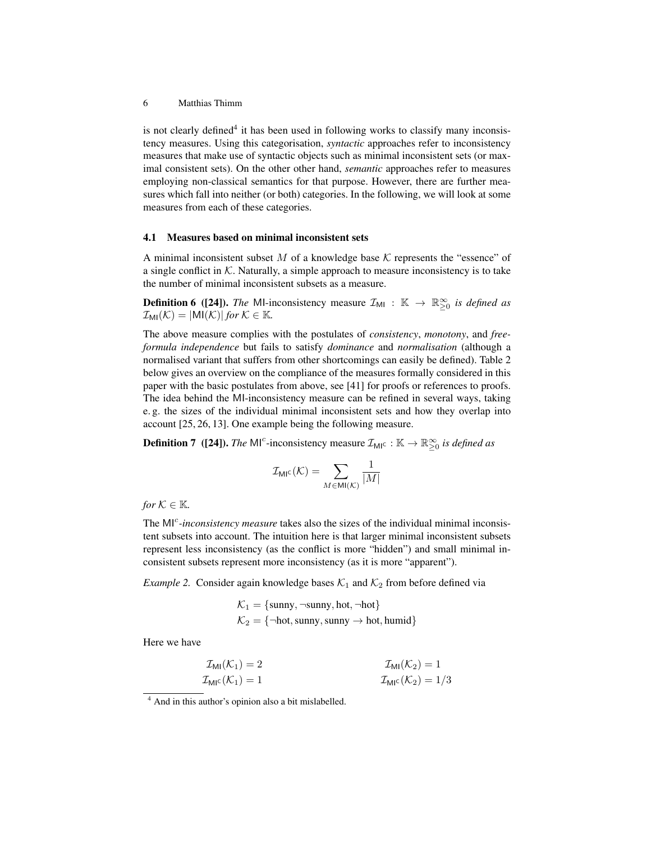is not clearly defined<sup>4</sup> it has been used in following works to classify many inconsistency measures. Using this categorisation, *syntactic* approaches refer to inconsistency measures that make use of syntactic objects such as minimal inconsistent sets (or maximal consistent sets). On the other other hand, *semantic* approaches refer to measures employing non-classical semantics for that purpose. However, there are further measures which fall into neither (or both) categories. In the following, we will look at some measures from each of these categories.

### 4.1 Measures based on minimal inconsistent sets

A minimal inconsistent subset  $M$  of a knowledge base  $K$  represents the "essence" of a single conflict in  $K$ . Naturally, a simple approach to measure inconsistency is to take the number of minimal inconsistent subsets as a measure.

**Definition 6** ([24]). *The* MI-inconsistency measure  $\mathcal{I}_{\text{MI}}$  :  $\mathbb{K} \to \mathbb{R}^{\infty}_{\geq 0}$  is defined as  $\mathcal{I}_{\text{MI}}(\mathcal{K}) = |\text{MI}(\mathcal{K})|$  *for*  $\mathcal{K} \in \mathbb{K}$ *.* 

The above measure complies with the postulates of *consistency*, *monotony*, and *freeformula independence* but fails to satisfy *dominance* and *normalisation* (although a normalised variant that suffers from other shortcomings can easily be defined). Table 2 below gives an overview on the compliance of the measures formally considered in this paper with the basic postulates from above, see [41] for proofs or references to proofs. The idea behind the MI-inconsistency measure can be refined in several ways, taking e. g. the sizes of the individual minimal inconsistent sets and how they overlap into account [25, 26, 13]. One example being the following measure.

**Definition 7** ([24]). *The* MI<sup>c</sup>-inconsistency measure  $\mathcal{I}_{\text{MI}^c} : \mathbb{K} \to \mathbb{R}^{\infty}_{\geq 0}$  is defined as

$$
\mathcal{I}_{\mathrm{MIC}}(\mathcal{K}) = \sum_{M \in \mathrm{MI}(\mathcal{K})} \frac{1}{|M|}
$$

*for*  $K \in \mathbb{K}$ *.* 

The MI<sup>c</sup>-inconsistency measure takes also the sizes of the individual minimal inconsistent subsets into account. The intuition here is that larger minimal inconsistent subsets represent less inconsistency (as the conflict is more "hidden") and small minimal inconsistent subsets represent more inconsistency (as it is more "apparent").

*Example 2.* Consider again knowledge bases  $K_1$  and  $K_2$  from before defined via

$$
\mathcal{K}_1 = \{\text{sumy}, \neg \text{sumy}, \text{hot}, \neg \text{hot}\}
$$

$$
\mathcal{K}_2 = \{\neg \text{hot}, \text{sumy}, \text{sumy} \rightarrow \text{hot}, \text{humid}\}
$$

Here we have

$$
\mathcal{I}_{\text{MI}}(\mathcal{K}_1) = 2 \qquad \qquad \mathcal{I}_{\text{MI}}(\mathcal{K}_2) = 1
$$
\n
$$
\mathcal{I}_{\text{MI}}(\mathcal{K}_1) = 1 \qquad \qquad \mathcal{I}_{\text{MI}}(\mathcal{K}_2) = 1/3
$$

<sup>4</sup> And in this author's opinion also a bit mislabelled.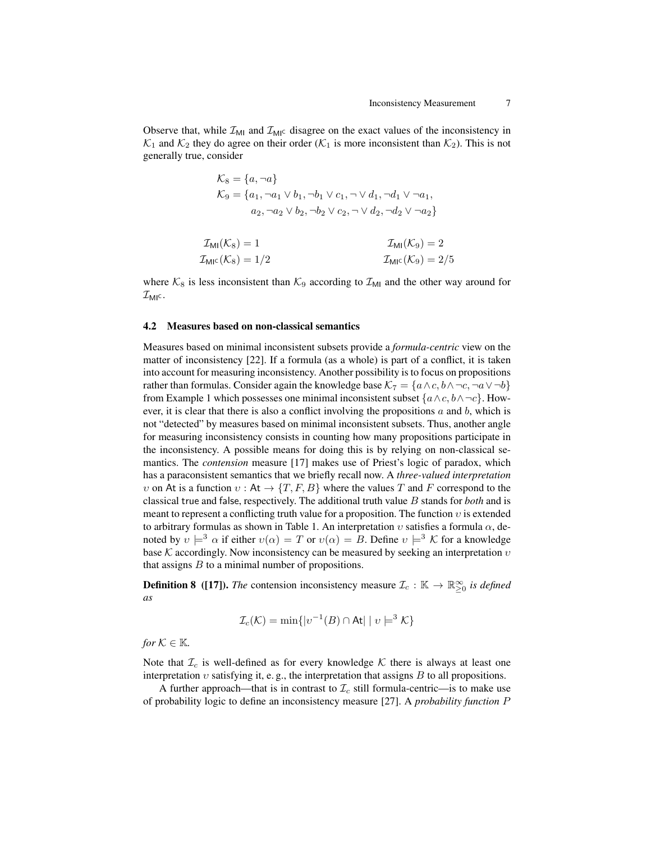Observe that, while  $\mathcal{I}_{\text{MI}}$  and  $\mathcal{I}_{\text{MI}}$  disagree on the exact values of the inconsistency in  $\mathcal{K}_1$  and  $\mathcal{K}_2$  they do agree on their order ( $\mathcal{K}_1$  is more inconsistent than  $\mathcal{K}_2$ ). This is not generally true, consider

$$
\mathcal{K}_8 = \{a, \neg a\}
$$
  
\n
$$
\mathcal{K}_9 = \{a_1, \neg a_1 \lor b_1, \neg b_1 \lor c_1, \neg \lor d_1, \neg d_1 \lor \neg a_1,
$$
  
\n
$$
a_2, \neg a_2 \lor b_2, \neg b_2 \lor c_2, \neg \lor d_2, \neg d_2 \lor \neg a_2\}
$$

$$
\mathcal{I}_{\text{MI}}(\mathcal{K}_8) = 1 \qquad \qquad \mathcal{I}_{\text{MI}}(\mathcal{K}_9) = 2
$$
\n
$$
\mathcal{I}_{\text{MI}}(\mathcal{K}_8) = 1/2 \qquad \qquad \mathcal{I}_{\text{MI}}(\mathcal{K}_9) = 2/5
$$

where  $K_8$  is less inconsistent than  $K_9$  according to  $\mathcal{I}_{\text{MI}}$  and the other way around for  $\mathcal{I}_{\textsf{MI}^{\textsf{c}}}$ .

### 4.2 Measures based on non-classical semantics

Measures based on minimal inconsistent subsets provide a *formula-centric* view on the matter of inconsistency [22]. If a formula (as a whole) is part of a conflict, it is taken into account for measuring inconsistency. Another possibility is to focus on propositions rather than formulas. Consider again the knowledge base  $\mathcal{K}_7 = \{a \wedge c, b \wedge \neg c, \neg a \vee \neg b\}$ from Example 1 which possesses one minimal inconsistent subset  $\{a \wedge c, b \wedge \neg c\}$ . However, it is clear that there is also a conflict involving the propositions  $a$  and  $b$ , which is not "detected" by measures based on minimal inconsistent subsets. Thus, another angle for measuring inconsistency consists in counting how many propositions participate in the inconsistency. A possible means for doing this is by relying on non-classical semantics. The *contension* measure [17] makes use of Priest's logic of paradox, which has a paraconsistent semantics that we briefly recall now. A *three-valued interpretation* v on At is a function  $v : At \rightarrow \{T, F, B\}$  where the values T and F correspond to the classical true and false, respectively. The additional truth value B stands for *both* and is meant to represent a conflicting truth value for a proposition. The function  $v$  is extended to arbitrary formulas as shown in Table 1. An interpretation  $v$  satisfies a formula  $\alpha$ , denoted by  $v \models^3 \alpha$  if either  $v(\alpha) = T$  or  $v(\alpha) = B$ . Define  $v \models^3 \mathcal{K}$  for a knowledge base K accordingly. Now inconsistency can be measured by seeking an interpretation  $v$ that assigns  $B$  to a minimal number of propositions.

**Definition 8** ([17]). *The* contension inconsistency measure  $\mathcal{I}_c : \mathbb{K} \to \mathbb{R}^{\infty}_{\geq 0}$  is defined *as*

$$
\mathcal{I}_c(\mathcal{K}) = \min\{|v^{-1}(B) \cap \mathsf{At}| \mid v \models^3 \mathcal{K}\}\
$$

*for*  $K \in \mathbb{K}$ *.* 

Note that  $\mathcal{I}_c$  is well-defined as for every knowledge  $\mathcal K$  there is always at least one interpretation  $v$  satisfying it, e.g., the interpretation that assigns  $B$  to all propositions.

A further approach—that is in contrast to  $\mathcal{I}_c$  still formula-centric—is to make use of probability logic to define an inconsistency measure [27]. A *probability function* P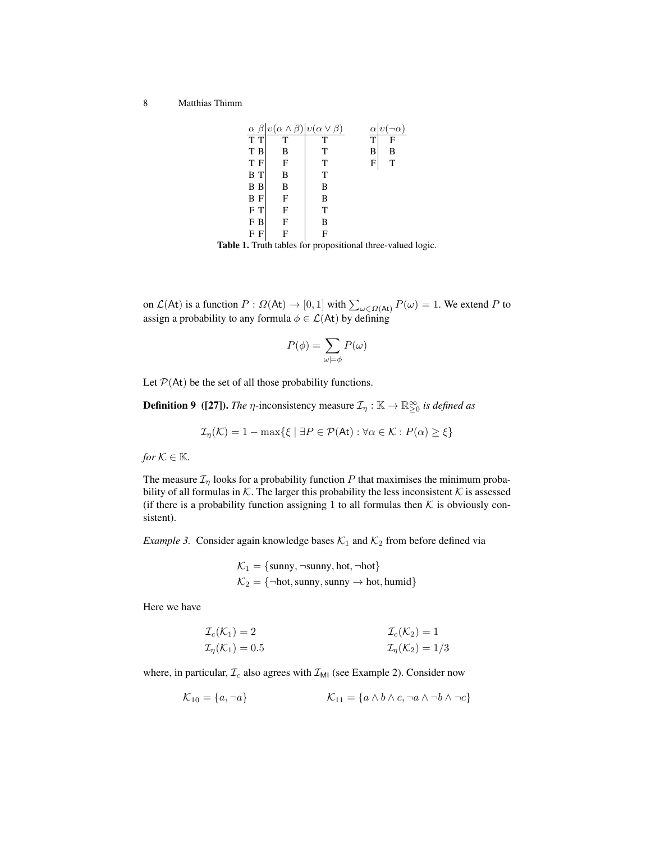|                | $\alpha \beta  v(\alpha \wedge \beta) v(\alpha \vee \beta)$ |   | $\alpha v(\neg\alpha)$ |
|----------------|-------------------------------------------------------------|---|------------------------|
| $\overline{T}$ |                                                             | Т | $\bar{T}$              |
| T B            | B                                                           | T | B<br>В                 |
| T F            | F                                                           | T | т<br>F                 |
| B T            | B                                                           | T |                        |
| B B            | B                                                           | B |                        |
| B F            | F                                                           | B |                        |
| F T            | F                                                           | T |                        |
| F B            | F                                                           | B |                        |
| F              |                                                             | F |                        |

Table 1. Truth tables for propositional three-valued logic.

on  $\mathcal{L}(\mathsf{At})$  is a function  $P: \Omega(\mathsf{At}) \to [0,1]$  with  $\sum_{\omega \in \Omega(\mathsf{At})} P(\omega) = 1$ . We extend P to assign a probability to any formula  $\phi \in \mathcal{L}(A_t)$  by defining

$$
P(\phi) = \sum_{\omega \models \phi} P(\omega)
$$

Let  $P(At)$  be the set of all those probability functions.

**Definition 9** ([27]). *The*  $\eta$ -inconsistency measure  $\mathcal{I}_{\eta} : \mathbb{K} \to \mathbb{R}^{\infty}_{\geq 0}$  *is defined as* 

$$
\mathcal{I}_{\eta}(\mathcal{K}) = 1 - \max\{\xi \mid \exists P \in \mathcal{P}(\mathsf{At}) : \forall \alpha \in \mathcal{K} : P(\alpha) \ge \xi\}
$$

*for*  $K \in \mathbb{K}$ *.* 

The measure  $\mathcal{I}_{\eta}$  looks for a probability function P that maximises the minimum probability of all formulas in  $K$ . The larger this probability the less inconsistent  $K$  is assessed (if there is a probability function assigning 1 to all formulas then  $K$  is obviously consistent).

*Example 3.* Consider again knowledge bases  $K_1$  and  $K_2$  from before defined via

$$
\mathcal{K}_1 = \{\text{sumy}, \neg \text{sumy}, \text{hot}, \neg \text{hot}\}
$$

$$
\mathcal{K}_2 = \{\neg \text{hot}, \text{sumy}, \text{sumy} \rightarrow \text{hot}, \text{humid}\}
$$

Here we have

$$
\mathcal{I}_c(\mathcal{K}_1) = 2
$$
  
\n
$$
\mathcal{I}_c(\mathcal{K}_2) = 1
$$
  
\n
$$
\mathcal{I}_n(\mathcal{K}_2) = 1/3
$$
  
\n
$$
\mathcal{I}_n(\mathcal{K}_2) = 1/3
$$

where, in particular,  $\mathcal{I}_c$  also agrees with  $\mathcal{I}_{\text{MI}}$  (see Example 2). Consider now

$$
\mathcal{K}_{10} = \{a, \neg a\} \qquad \qquad \mathcal{K}_{11} = \{a \land b \land c, \neg a \land \neg b \land \neg c\}
$$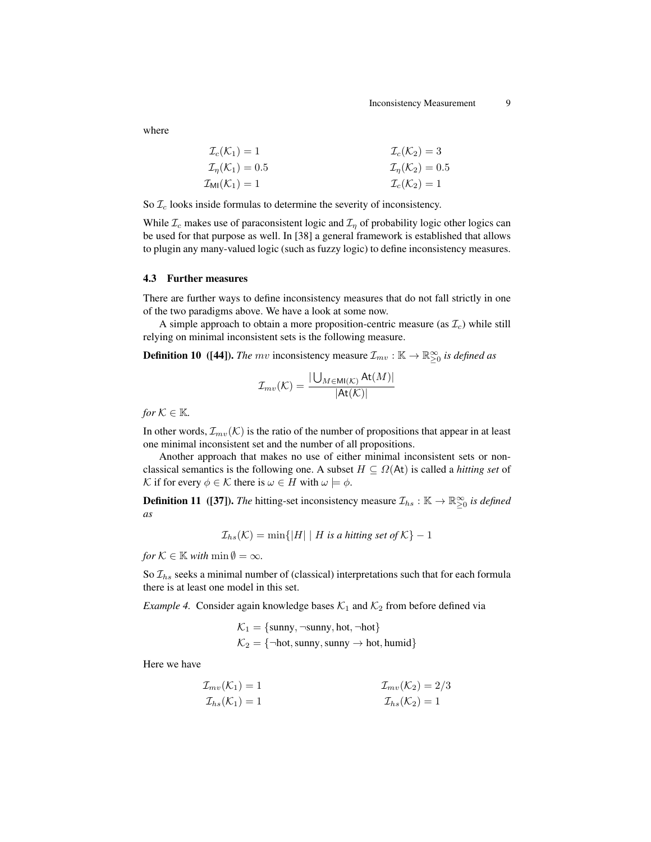where

$$
\mathcal{I}_c(\mathcal{K}_1) = 1
$$
\n
$$
\mathcal{I}_n(\mathcal{K}_1) = 0.5
$$
\n
$$
\mathcal{I}_n(\mathcal{K}_2) = 3
$$
\n
$$
\mathcal{I}_n(\mathcal{K}_2) = 0.5
$$
\n
$$
\mathcal{I}_n(\mathcal{K}_2) = 0.5
$$
\n
$$
\mathcal{I}_c(\mathcal{K}_2) = 1
$$

So  $\mathcal{I}_c$  looks inside formulas to determine the severity of inconsistency.

While  $\mathcal{I}_c$  makes use of paraconsistent logic and  $\mathcal{I}_n$  of probability logic other logics can be used for that purpose as well. In [38] a general framework is established that allows to plugin any many-valued logic (such as fuzzy logic) to define inconsistency measures.

### 4.3 Further measures

There are further ways to define inconsistency measures that do not fall strictly in one of the two paradigms above. We have a look at some now.

A simple approach to obtain a more proposition-centric measure (as  $\mathcal{I}_c$ ) while still relying on minimal inconsistent sets is the following measure.

**Definition 10** ([44]). *The mv* inconsistency measure  $\mathcal{I}_{mv} : \mathbb{K} \to \mathbb{R}^{\infty}_{\geq 0}$  is defined as

$$
\mathcal{I}_{mv}(\mathcal{K}) = \frac{|\bigcup_{M \in \text{MI}(\mathcal{K})} \text{At}(M)|}{|\text{At}(\mathcal{K})|}
$$

*for*  $K \in \mathbb{K}$ *.* 

In other words,  $\mathcal{I}_{mv}(\mathcal{K})$  is the ratio of the number of propositions that appear in at least one minimal inconsistent set and the number of all propositions.

Another approach that makes no use of either minimal inconsistent sets or nonclassical semantics is the following one. A subset  $H \subseteq \Omega(At)$  is called a *hitting set* of K if for every  $\phi \in \mathcal{K}$  there is  $\omega \in H$  with  $\omega \models \phi$ .

**Definition 11** ([37]). *The* hitting-set inconsistency measure  $\mathcal{I}_{hs}$ :  $\mathbb{K} \to \mathbb{R}^{\infty}_{\geq 0}$  is defined *as*

$$
\mathcal{I}_{hs}(\mathcal{K}) = \min\{|H| \mid H \text{ is a hitting set of } \mathcal{K}\} - 1
$$

*for*  $K \in \mathbb{K}$  *with*  $\min \emptyset = \infty$ *.* 

So  $\mathcal{I}_{hs}$  seeks a minimal number of (classical) interpretations such that for each formula there is at least one model in this set.

*Example 4.* Consider again knowledge bases  $K_1$  and  $K_2$  from before defined via

$$
\mathcal{K}_1 = \{\text{sumy}, \neg \text{sumy}, \text{hot}, \neg \text{hot}\}
$$

$$
\mathcal{K}_2 = \{\neg \text{hot}, \text{sumy}, \text{sumy} \rightarrow \text{hot}, \text{humid}\}
$$

Here we have

$$
\mathcal{I}_{mv}(\mathcal{K}_1) = 1
$$
\n
$$
\mathcal{I}_{mv}(\mathcal{K}_2) = 2/3
$$
\n
$$
\mathcal{I}_{hs}(\mathcal{K}_1) = 1
$$
\n
$$
\mathcal{I}_{hs}(\mathcal{K}_2) = 1
$$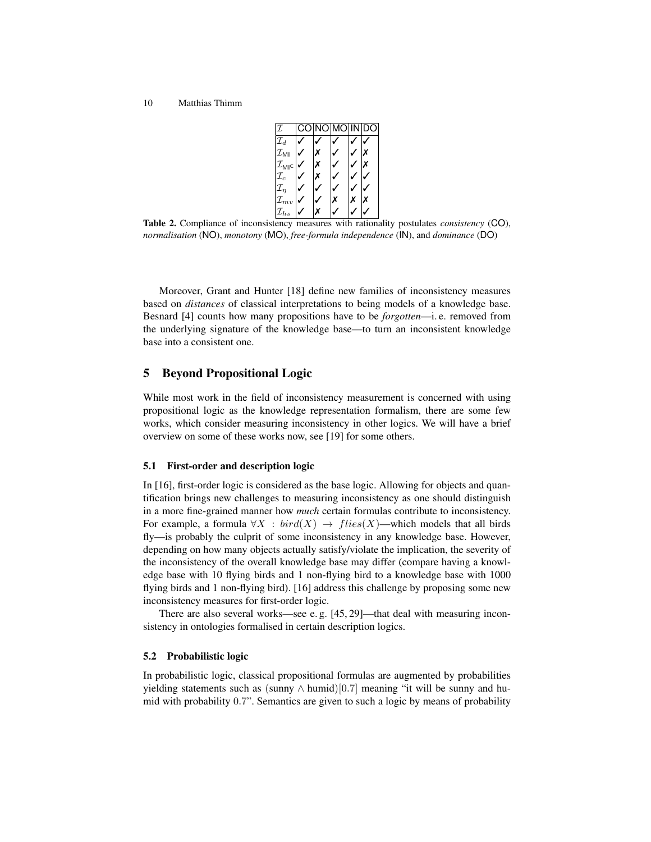

Table 2. Compliance of inconsistency measures with rationality postulates *consistency* (CO), *normalisation* (NO), *monotony* (MO), *free-formula independence* (IN), and *dominance* (DO)

Moreover, Grant and Hunter [18] define new families of inconsistency measures based on *distances* of classical interpretations to being models of a knowledge base. Besnard [4] counts how many propositions have to be *forgotten*—i. e. removed from the underlying signature of the knowledge base—to turn an inconsistent knowledge base into a consistent one.

# 5 Beyond Propositional Logic

While most work in the field of inconsistency measurement is concerned with using propositional logic as the knowledge representation formalism, there are some few works, which consider measuring inconsistency in other logics. We will have a brief overview on some of these works now, see [19] for some others.

### 5.1 First-order and description logic

In [16], first-order logic is considered as the base logic. Allowing for objects and quantification brings new challenges to measuring inconsistency as one should distinguish in a more fine-grained manner how *much* certain formulas contribute to inconsistency. For example, a formula  $\forall X : bird(X) \rightarrow flies(X)$ —which models that all birds fly—is probably the culprit of some inconsistency in any knowledge base. However, depending on how many objects actually satisfy/violate the implication, the severity of the inconsistency of the overall knowledge base may differ (compare having a knowledge base with 10 flying birds and 1 non-flying bird to a knowledge base with 1000 flying birds and 1 non-flying bird). [16] address this challenge by proposing some new inconsistency measures for first-order logic.

There are also several works—see e. g. [45, 29]—that deal with measuring inconsistency in ontologies formalised in certain description logics.

### 5.2 Probabilistic logic

In probabilistic logic, classical propositional formulas are augmented by probabilities yielding statements such as (sunny ∧ humid)[0.7] meaning "it will be sunny and humid with probability 0.7". Semantics are given to such a logic by means of probability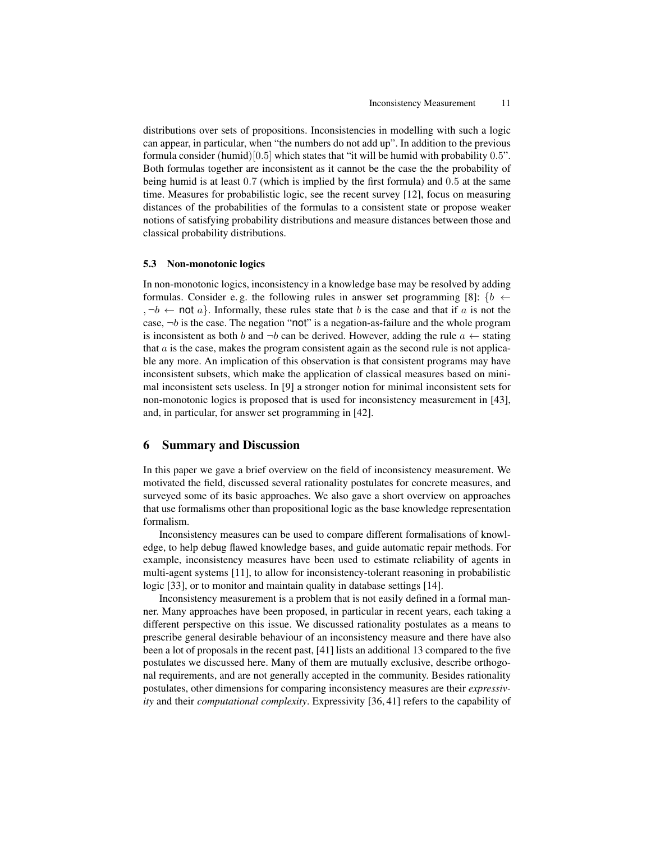distributions over sets of propositions. Inconsistencies in modelling with such a logic can appear, in particular, when "the numbers do not add up". In addition to the previous formula consider (humid)[0.5] which states that "it will be humid with probability 0.5". Both formulas together are inconsistent as it cannot be the case the the probability of being humid is at least 0.7 (which is implied by the first formula) and 0.5 at the same time. Measures for probabilistic logic, see the recent survey [12], focus on measuring distances of the probabilities of the formulas to a consistent state or propose weaker notions of satisfying probability distributions and measure distances between those and classical probability distributions.

### 5.3 Non-monotonic logics

In non-monotonic logics, inconsistency in a knowledge base may be resolved by adding formulas. Consider e.g. the following rules in answer set programming [8]:  $\{b \leftarrow$ ,  $\neg b \leftarrow \text{not } a$ . Informally, these rules state that b is the case and that if a is not the case,  $\neg b$  is the case. The negation "not" is a negation-as-failure and the whole program is inconsistent as both b and  $\neg b$  can be derived. However, adding the rule  $a \leftarrow$  stating that  $\alpha$  is the case, makes the program consistent again as the second rule is not applicable any more. An implication of this observation is that consistent programs may have inconsistent subsets, which make the application of classical measures based on minimal inconsistent sets useless. In [9] a stronger notion for minimal inconsistent sets for non-monotonic logics is proposed that is used for inconsistency measurement in [43], and, in particular, for answer set programming in [42].

# 6 Summary and Discussion

In this paper we gave a brief overview on the field of inconsistency measurement. We motivated the field, discussed several rationality postulates for concrete measures, and surveyed some of its basic approaches. We also gave a short overview on approaches that use formalisms other than propositional logic as the base knowledge representation formalism.

Inconsistency measures can be used to compare different formalisations of knowledge, to help debug flawed knowledge bases, and guide automatic repair methods. For example, inconsistency measures have been used to estimate reliability of agents in multi-agent systems [11], to allow for inconsistency-tolerant reasoning in probabilistic logic [33], or to monitor and maintain quality in database settings [14].

Inconsistency measurement is a problem that is not easily defined in a formal manner. Many approaches have been proposed, in particular in recent years, each taking a different perspective on this issue. We discussed rationality postulates as a means to prescribe general desirable behaviour of an inconsistency measure and there have also been a lot of proposals in the recent past, [41] lists an additional 13 compared to the five postulates we discussed here. Many of them are mutually exclusive, describe orthogonal requirements, and are not generally accepted in the community. Besides rationality postulates, other dimensions for comparing inconsistency measures are their *expressivity* and their *computational complexity*. Expressivity [36, 41] refers to the capability of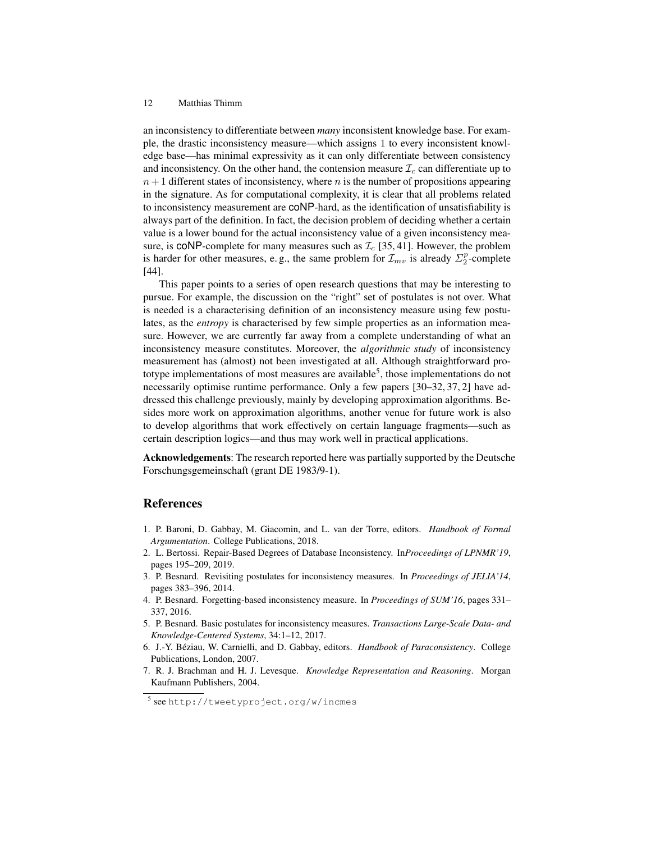an inconsistency to differentiate between *many* inconsistent knowledge base. For example, the drastic inconsistency measure—which assigns 1 to every inconsistent knowledge base—has minimal expressivity as it can only differentiate between consistency and inconsistency. On the other hand, the contension measure  $\mathcal{I}_c$  can differentiate up to  $n+1$  different states of inconsistency, where n is the number of propositions appearing in the signature. As for computational complexity, it is clear that all problems related to inconsistency measurement are coNP-hard, as the identification of unsatisfiability is always part of the definition. In fact, the decision problem of deciding whether a certain value is a lower bound for the actual inconsistency value of a given inconsistency measure, is CONP-complete for many measures such as  $\mathcal{I}_c$  [35, 41]. However, the problem is harder for other measures, e.g., the same problem for  $\mathcal{I}_{mv}$  is already  $\Sigma_2^p$ -complete [44].

This paper points to a series of open research questions that may be interesting to pursue. For example, the discussion on the "right" set of postulates is not over. What is needed is a characterising definition of an inconsistency measure using few postulates, as the *entropy* is characterised by few simple properties as an information measure. However, we are currently far away from a complete understanding of what an inconsistency measure constitutes. Moreover, the *algorithmic study* of inconsistency measurement has (almost) not been investigated at all. Although straightforward prototype implementations of most measures are available<sup>5</sup>, those implementations do not necessarily optimise runtime performance. Only a few papers [30–32, 37, 2] have addressed this challenge previously, mainly by developing approximation algorithms. Besides more work on approximation algorithms, another venue for future work is also to develop algorithms that work effectively on certain language fragments—such as certain description logics—and thus may work well in practical applications.

Acknowledgements: The research reported here was partially supported by the Deutsche Forschungsgemeinschaft (grant DE 1983/9-1).

# References

- 1. P. Baroni, D. Gabbay, M. Giacomin, and L. van der Torre, editors. *Handbook of Formal Argumentation*. College Publications, 2018.
- 2. L. Bertossi. Repair-Based Degrees of Database Inconsistency. In*Proceedings of LPNMR'19*, pages 195–209, 2019.
- 3. P. Besnard. Revisiting postulates for inconsistency measures. In *Proceedings of JELIA'14*, pages 383–396, 2014.
- 4. P. Besnard. Forgetting-based inconsistency measure. In *Proceedings of SUM'16*, pages 331– 337, 2016.
- 5. P. Besnard. Basic postulates for inconsistency measures. *Transactions Large-Scale Data- and Knowledge-Centered Systems*, 34:1–12, 2017.
- 6. J.-Y. Beziau, W. Carnielli, and D. Gabbay, editors. ´ *Handbook of Paraconsistency*. College Publications, London, 2007.
- 7. R. J. Brachman and H. J. Levesque. *Knowledge Representation and Reasoning*. Morgan Kaufmann Publishers, 2004.

<sup>5</sup> see http://tweetyproject.org/w/incmes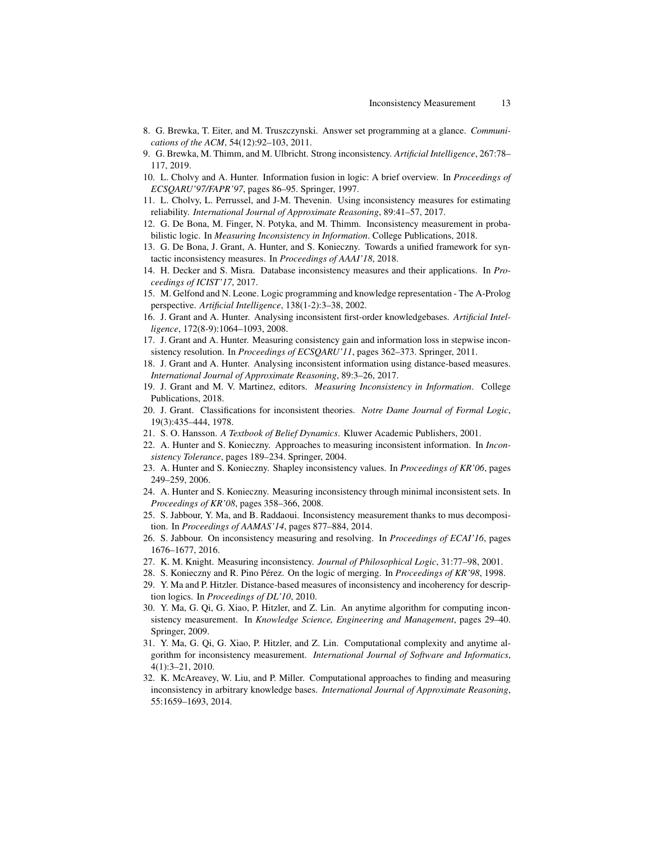- 8. G. Brewka, T. Eiter, and M. Truszczynski. Answer set programming at a glance. *Communications of the ACM*, 54(12):92–103, 2011.
- 9. G. Brewka, M. Thimm, and M. Ulbricht. Strong inconsistency. *Artificial Intelligence*, 267:78– 117, 2019.
- 10. L. Cholvy and A. Hunter. Information fusion in logic: A brief overview. In *Proceedings of ECSQARU'97/FAPR'97*, pages 86–95. Springer, 1997.
- 11. L. Cholvy, L. Perrussel, and J-M. Thevenin. Using inconsistency measures for estimating reliability. *International Journal of Approximate Reasoning*, 89:41–57, 2017.
- 12. G. De Bona, M. Finger, N. Potyka, and M. Thimm. Inconsistency measurement in probabilistic logic. In *Measuring Inconsistency in Information*. College Publications, 2018.
- 13. G. De Bona, J. Grant, A. Hunter, and S. Konieczny. Towards a unified framework for syntactic inconsistency measures. In *Proceedings of AAAI'18*, 2018.
- 14. H. Decker and S. Misra. Database inconsistency measures and their applications. In *Proceedings of ICIST'17*, 2017.
- 15. M. Gelfond and N. Leone. Logic programming and knowledge representation The A-Prolog perspective. *Artificial Intelligence*, 138(1-2):3–38, 2002.
- 16. J. Grant and A. Hunter. Analysing inconsistent first-order knowledgebases. *Artificial Intelligence*, 172(8-9):1064–1093, 2008.
- 17. J. Grant and A. Hunter. Measuring consistency gain and information loss in stepwise inconsistency resolution. In *Proceedings of ECSQARU'11*, pages 362–373. Springer, 2011.
- 18. J. Grant and A. Hunter. Analysing inconsistent information using distance-based measures. *International Journal of Approximate Reasoning*, 89:3–26, 2017.
- 19. J. Grant and M. V. Martinez, editors. *Measuring Inconsistency in Information*. College Publications, 2018.
- 20. J. Grant. Classifications for inconsistent theories. *Notre Dame Journal of Formal Logic*, 19(3):435–444, 1978.
- 21. S. O. Hansson. *A Textbook of Belief Dynamics*. Kluwer Academic Publishers, 2001.
- 22. A. Hunter and S. Konieczny. Approaches to measuring inconsistent information. In *Inconsistency Tolerance*, pages 189–234. Springer, 2004.
- 23. A. Hunter and S. Konieczny. Shapley inconsistency values. In *Proceedings of KR'06*, pages 249–259, 2006.
- 24. A. Hunter and S. Konieczny. Measuring inconsistency through minimal inconsistent sets. In *Proceedings of KR'08*, pages 358–366, 2008.
- 25. S. Jabbour, Y. Ma, and B. Raddaoui. Inconsistency measurement thanks to mus decomposition. In *Proceedings of AAMAS'14*, pages 877–884, 2014.
- 26. S. Jabbour. On inconsistency measuring and resolving. In *Proceedings of ECAI'16*, pages 1676–1677, 2016.
- 27. K. M. Knight. Measuring inconsistency. *Journal of Philosophical Logic*, 31:77–98, 2001.
- 28. S. Konieczny and R. Pino Pérez. On the logic of merging. In Proceedings of KR'98, 1998.
- 29. Y. Ma and P. Hitzler. Distance-based measures of inconsistency and incoherency for description logics. In *Proceedings of DL'10*, 2010.
- 30. Y. Ma, G. Qi, G. Xiao, P. Hitzler, and Z. Lin. An anytime algorithm for computing inconsistency measurement. In *Knowledge Science, Engineering and Management*, pages 29–40. Springer, 2009.
- 31. Y. Ma, G. Qi, G. Xiao, P. Hitzler, and Z. Lin. Computational complexity and anytime algorithm for inconsistency measurement. *International Journal of Software and Informatics*, 4(1):3–21, 2010.
- 32. K. McAreavey, W. Liu, and P. Miller. Computational approaches to finding and measuring inconsistency in arbitrary knowledge bases. *International Journal of Approximate Reasoning*, 55:1659–1693, 2014.